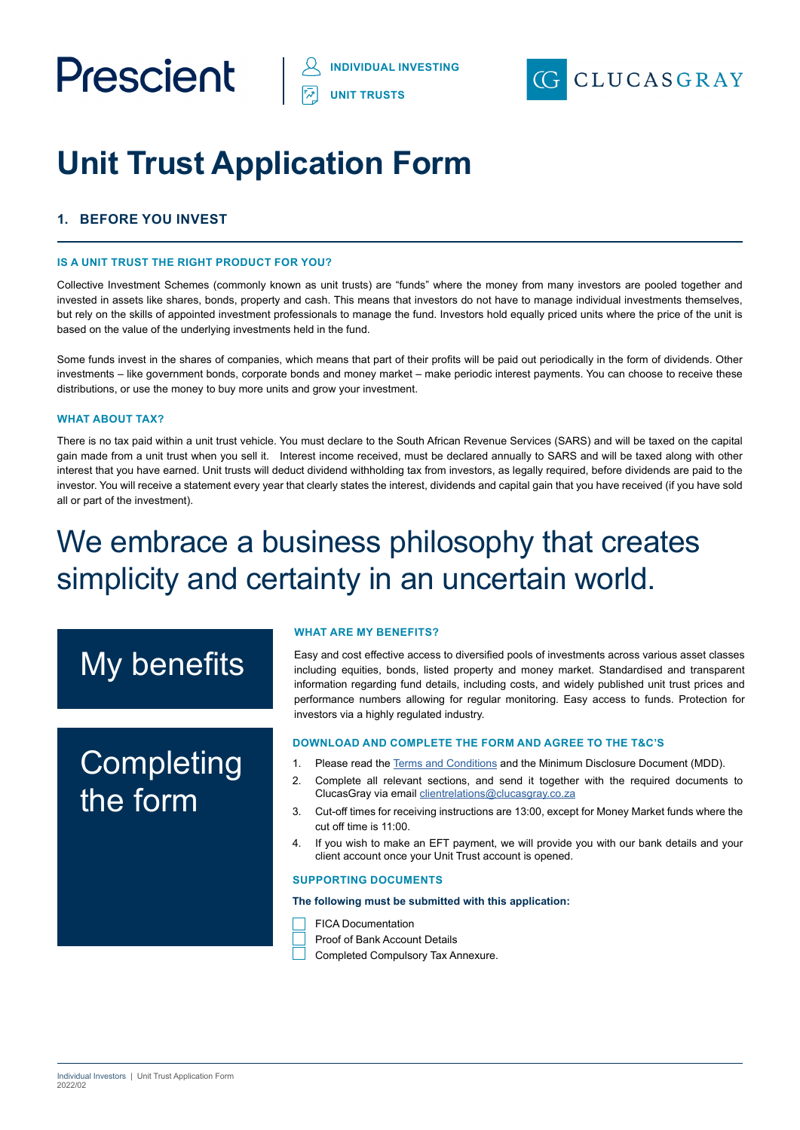

# **Unit Trust Application Form**

## **1. BEFORE YOU INVEST**

#### **IS A UNIT TRUST THE RIGHT PRODUCT FOR YOU?**

Collective Investment Schemes (commonly known as unit trusts) are "funds" where the money from many investors are pooled together and invested in assets like shares, bonds, property and cash. This means that investors do not have to manage individual investments themselves, but rely on the skills of appointed investment professionals to manage the fund. Investors hold equally priced units where the price of the unit is based on the value of the underlying investments held in the fund.

Some funds invest in the shares of companies, which means that part of their profits will be paid out periodically in the form of dividends. Other investments – like government bonds, corporate bonds and money market – make periodic interest payments. You can choose to receive these distributions, or use the money to buy more units and grow your investment.

#### **WHAT ABOUT TAX?**

There is no tax paid within a unit trust vehicle. You must declare to the South African Revenue Services (SARS) and will be taxed on the capital gain made from a unit trust when you sell it. Interest income received, must be declared annually to SARS and will be taxed along with other interest that you have earned. Unit trusts will deduct dividend withholding tax from investors, as legally required, before dividends are paid to the investor. You will receive a statement every year that clearly states the interest, dividends and capital gain that you have received (if you have sold all or part of the investment).

## We embrace a business philosophy that creates simplicity and certainty in an uncertain world.

## My benefits

## **Completing** the form

#### **WHAT ARE MY BENEFITS?**

Easy and cost effective access to diversified pools of investments across various asset classes including equities, bonds, listed property and money market. Standardised and transparent information regarding fund details, including costs, and widely published unit trust prices and performance numbers allowing for regular monitoring. Easy access to funds. Protection for investors via a highly regulated industry.

#### **DOWNLOAD AND COMPLETE THE FORM AND AGREE TO THE T&C'S**

- 1. Please read the [Terms and Conditions](https://prescient.co.za/media/4459/terms-and-conditions.pdf) and the Minimum Disclosure Document (MDD).
- 2. Complete all relevant sections, and send it together with the required documents to ClucasGray via email [clientrelations@clucasgray.co.za](mailto:clientrelations%40clucasgray.co.za?subject=ClucasGray%20Individual%20Investor%20Application%20Form)
- 3. Cut-off times for receiving instructions are 13:00, except for Money Market funds where the cut off time is 11:00.
- 4. If you wish to make an EFT payment, we will provide you with our bank details and your client account once your Unit Trust account is opened.

#### **SUPPORTING DOCUMENTS**

#### **The following must be submitted with this application:**

- FICA Documentation
- Proof of Bank Account Details
- Completed Compulsory Tax Annexure.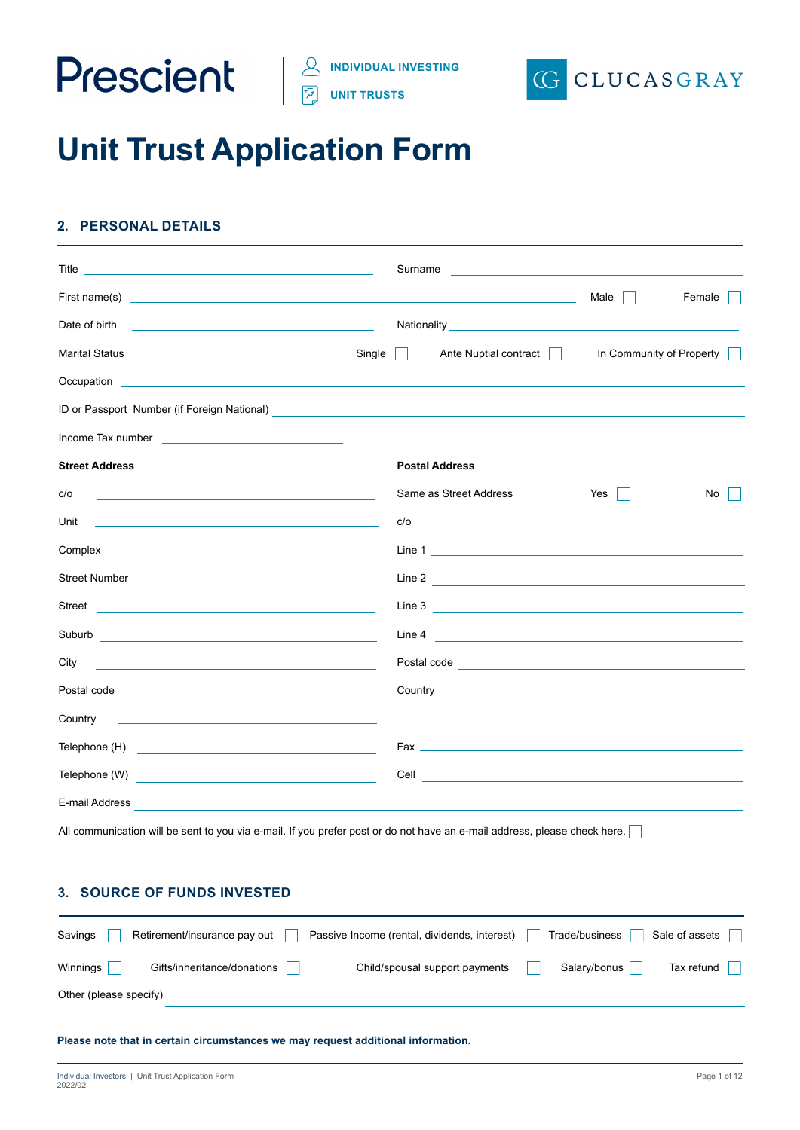

**UNIT TRUSTS**



## **Unit Trust Application Form**

## **2. PERSONAL DETAILS**

|                                                                                                                                                                                                                                      |        | Surname |                                                                                                                                                                                                                                      |      |                          |
|--------------------------------------------------------------------------------------------------------------------------------------------------------------------------------------------------------------------------------------|--------|---------|--------------------------------------------------------------------------------------------------------------------------------------------------------------------------------------------------------------------------------------|------|--------------------------|
|                                                                                                                                                                                                                                      |        |         |                                                                                                                                                                                                                                      | Male | Female                   |
| Date of birth<br><u> 1989 - Andrea Barbara, amerikan personal (h. 1989).</u>                                                                                                                                                         |        |         |                                                                                                                                                                                                                                      |      |                          |
| <b>Marital Status</b>                                                                                                                                                                                                                | Single |         | Ante Nuptial contract                                                                                                                                                                                                                |      | In Community of Property |
| Occupation <b>contract the contract of the contract of the contract of the contract of the contract of the contract of the contract of the contract of the contract of the contract of the contract of the contract of the contr</b> |        |         |                                                                                                                                                                                                                                      |      |                          |
|                                                                                                                                                                                                                                      |        |         |                                                                                                                                                                                                                                      |      |                          |
| Income Tax number and the state of the state of the state of the state of the state of the state of the state of the state of the state of the state of the state of the state of the state of the state of the state of the s       |        |         |                                                                                                                                                                                                                                      |      |                          |
| <b>Street Address</b>                                                                                                                                                                                                                |        |         | <b>Postal Address</b>                                                                                                                                                                                                                |      |                          |
| c/o                                                                                                                                                                                                                                  |        |         | Same as Street Address                                                                                                                                                                                                               | Yes  | No                       |
| Unit<br>the control of the control of the control of the control of the control of the control of                                                                                                                                    |        | c/o     | <u> 1990 - John Stein, Amerikaansk politiker (</u>                                                                                                                                                                                   |      |                          |
|                                                                                                                                                                                                                                      |        |         |                                                                                                                                                                                                                                      |      |                          |
|                                                                                                                                                                                                                                      |        |         |                                                                                                                                                                                                                                      |      |                          |
|                                                                                                                                                                                                                                      |        |         |                                                                                                                                                                                                                                      |      |                          |
|                                                                                                                                                                                                                                      |        |         |                                                                                                                                                                                                                                      |      |                          |
| City<br><u> 1989 - Johann Barn, mars ann an t-Amhain Aonaichte ann an t-Aonaichte ann an t-Aonaichte ann an t-Aonaichte a</u>                                                                                                        |        |         | Postal code <u>expression and the set of the set of the set of the set of the set of the set of the set of the set of the set of the set of the set of the set of the set of the set of the set of the set of the set of the set</u> |      |                          |
|                                                                                                                                                                                                                                      |        |         |                                                                                                                                                                                                                                      |      |                          |
| Country<br><u> 1989 - Johann John Stein, markin fan it ferskearre fan it ferskearre fan it ferskearre fan it ferskearre fan</u>                                                                                                      |        |         |                                                                                                                                                                                                                                      |      |                          |
|                                                                                                                                                                                                                                      |        |         |                                                                                                                                                                                                                                      |      |                          |
|                                                                                                                                                                                                                                      |        |         |                                                                                                                                                                                                                                      |      |                          |
| E-mail Address                                                                                                                                                                                                                       |        |         |                                                                                                                                                                                                                                      |      |                          |
| All communication will be sent to you via e-mail. If you prefer post or do not have an e-mail address, please check here.                                                                                                            |        |         |                                                                                                                                                                                                                                      |      |                          |

### **3. SOURCE OF FUNDS INVESTED**

| Savings                | Retirement/insurance pay out | Passive Income (rental, dividends, interest) | Trade/business | Sale of assets |
|------------------------|------------------------------|----------------------------------------------|----------------|----------------|
| Winnings               | Gifts/inheritance/donations  | Child/spousal support payments               | Salary/bonus   | Tax refund     |
| Other (please specify) |                              |                                              |                |                |

**Please note that in certain circumstances we may request additional information.**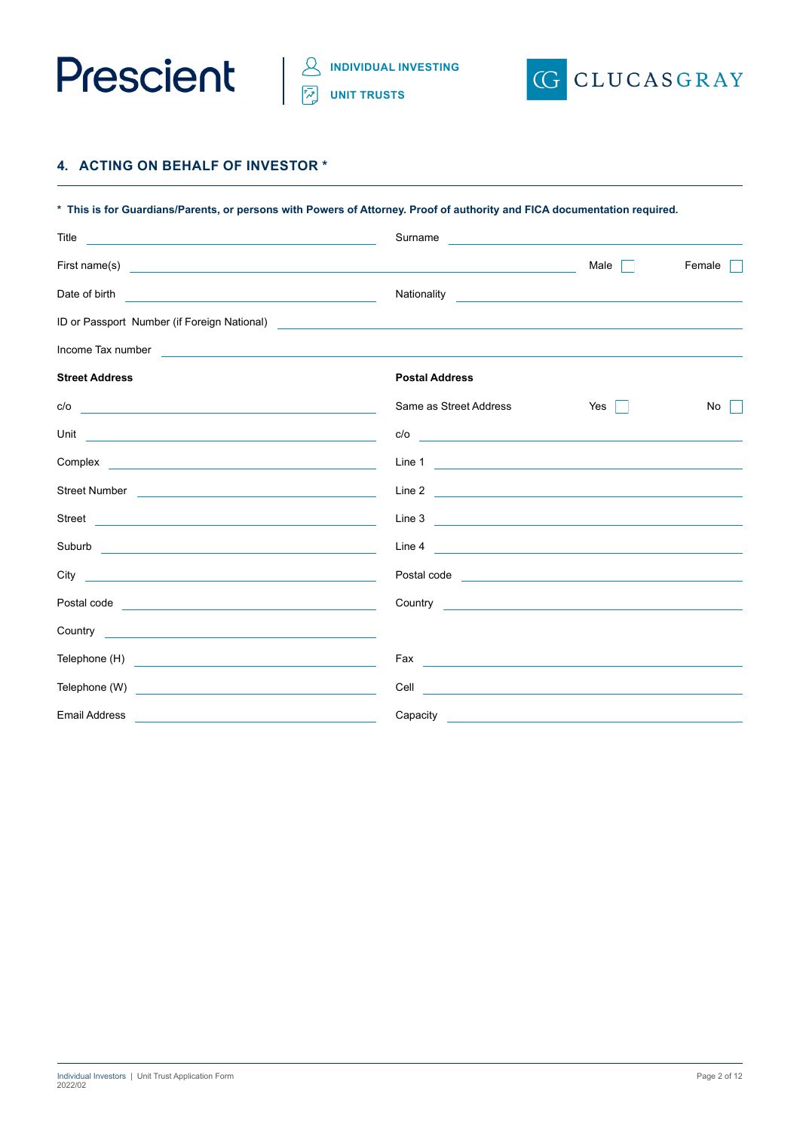



## **4. ACTING ON BEHALF OF INVESTOR \***

| * This is for Guardians/Parents, or persons with Powers of Attorney. Proof of authority and FICA documentation required.                                                                                                             |                          |                                                                                                                       |        |  |  |  |
|--------------------------------------------------------------------------------------------------------------------------------------------------------------------------------------------------------------------------------------|--------------------------|-----------------------------------------------------------------------------------------------------------------------|--------|--|--|--|
| Title<br><u> 1989 - Andrea Stadt Britain, amerikansk politik (</u>                                                                                                                                                                   | Surname                  | <u> 1980 - Andrea Station, amerikansk politik (d. 1980)</u>                                                           |        |  |  |  |
|                                                                                                                                                                                                                                      |                          | Male                                                                                                                  | Female |  |  |  |
| Date of birth                                                                                                                                                                                                                        | Nationality              | <u> 1989 - Jan Sterling Sterling, statistik fotograf i statistik fotograf i statistik fotograf i statistik fotogr</u> |        |  |  |  |
| ID or Passport Number (if Foreign National)<br><u> and the manual contract of the contract of the contract of the contract of the contract of the contract of</u>                                                                    |                          |                                                                                                                       |        |  |  |  |
| Income Tax number                                                                                                                                                                                                                    |                          |                                                                                                                       |        |  |  |  |
| <b>Street Address</b>                                                                                                                                                                                                                | <b>Postal Address</b>    |                                                                                                                       |        |  |  |  |
| c/o<br><u> 1989 - Johann Stein, markin sammen fyrstu seit fyrstu seit fyrstu seit fyrstu seit fyrstu seit fyrstu seit f</u>                                                                                                          | Same as Street Address   | Yes $\vert \ \vert$                                                                                                   | No     |  |  |  |
| Unit<br><u> 1989 - John Stone, Amerikaansk politiker (* 1918)</u>                                                                                                                                                                    |                          |                                                                                                                       |        |  |  |  |
|                                                                                                                                                                                                                                      |                          |                                                                                                                       |        |  |  |  |
| Street Number <u>and a street of the street of the street of the street of the street of the street of the street of the street of the street of the street of the street of the street of the street of the street of the stree</u> | Line 2                   |                                                                                                                       |        |  |  |  |
|                                                                                                                                                                                                                                      | Line 3 $\qquad$          |                                                                                                                       |        |  |  |  |
|                                                                                                                                                                                                                                      |                          |                                                                                                                       |        |  |  |  |
| City<br><u> 1989 - Johann Harry Harry Harry Harry Harry Harry Harry Harry Harry Harry Harry Harry Harry Harry Harry Harry</u>                                                                                                        |                          |                                                                                                                       |        |  |  |  |
|                                                                                                                                                                                                                                      |                          |                                                                                                                       |        |  |  |  |
|                                                                                                                                                                                                                                      |                          |                                                                                                                       |        |  |  |  |
|                                                                                                                                                                                                                                      | Fax                      |                                                                                                                       |        |  |  |  |
| Telephone (W)<br><u> 1989 - Johann Barbara, martin amerikan basal da</u>                                                                                                                                                             |                          |                                                                                                                       |        |  |  |  |
| <b>Email Address</b>                                                                                                                                                                                                                 | Capacity <b>Capacity</b> |                                                                                                                       |        |  |  |  |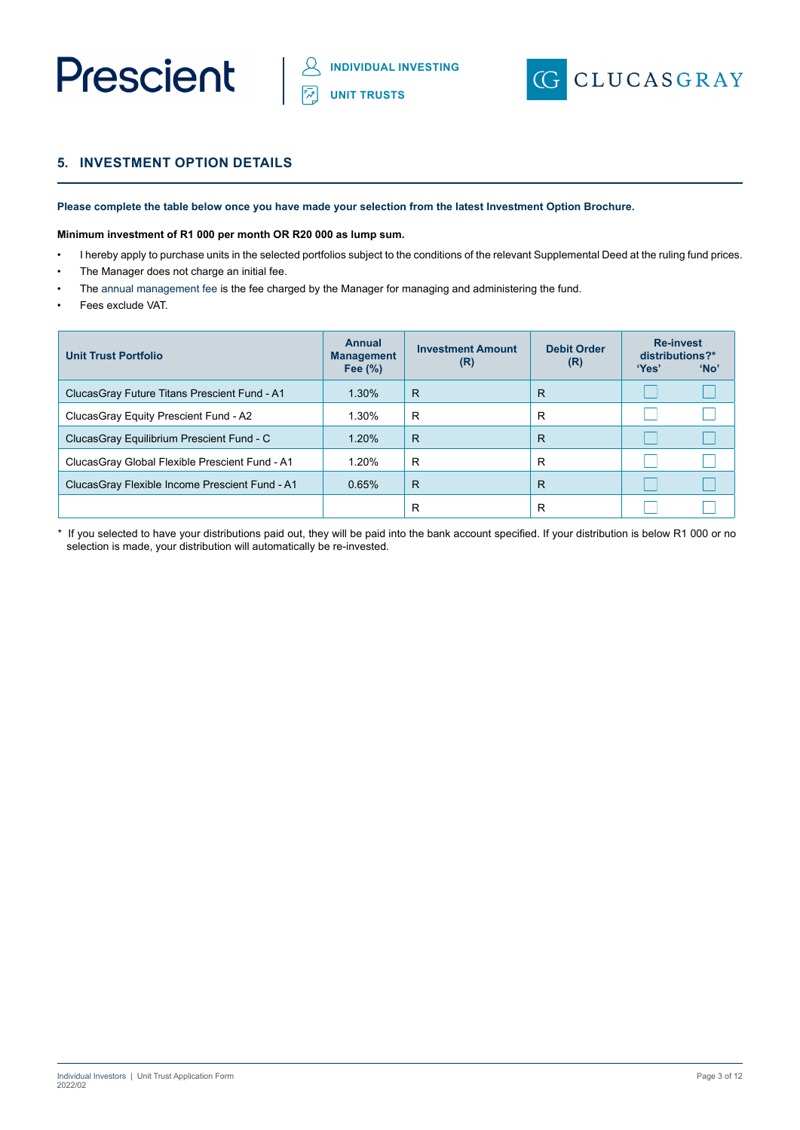



## **5. INVESTMENT OPTION DETAILS**

**Please complete the table below once you have made your selection from the latest Investment Option Brochure.** 

#### **Minimum investment of R1 000 per month OR R20 000 as lump sum.**

- I hereby apply to purchase units in the selected portfolios subject to the conditions of the relevant Supplemental Deed at the ruling fund prices.
- The Manager does not charge an initial fee.
- The annual management fee is the fee charged by the Manager for managing and administering the fund.
- Fees exclude VAT.

| <b>Unit Trust Portfolio</b>                     | <b>Annual</b><br><b>Management</b><br>Fee $(\%)$ | <b>Investment Amount</b><br>(R) | <b>Debit Order</b><br>(R) | <b>Re-invest</b><br>distributions?*<br>'Yes' | 'No' |
|-------------------------------------------------|--------------------------------------------------|---------------------------------|---------------------------|----------------------------------------------|------|
| Clucas Gray Future Titans Prescient Fund - A1   | 1.30%                                            | R                               | R                         |                                              |      |
| Clucas Gray Equity Prescient Fund - A2          | 1.30%                                            | R                               | R                         |                                              |      |
| ClucasGray Equilibrium Prescient Fund - C       | 1.20%                                            | R                               | R                         |                                              |      |
| Clucas Gray Global Flexible Prescient Fund - A1 | 1.20%                                            | R                               | R                         |                                              |      |
| ClucasGray Flexible Income Prescient Fund - A1  | 0.65%                                            | R                               | R                         |                                              |      |
|                                                 |                                                  | R                               | R                         |                                              |      |

\* If you selected to have your distributions paid out, they will be paid into the bank account specified. If your distribution is below R1 000 or no selection is made, your distribution will automatically be re-invested.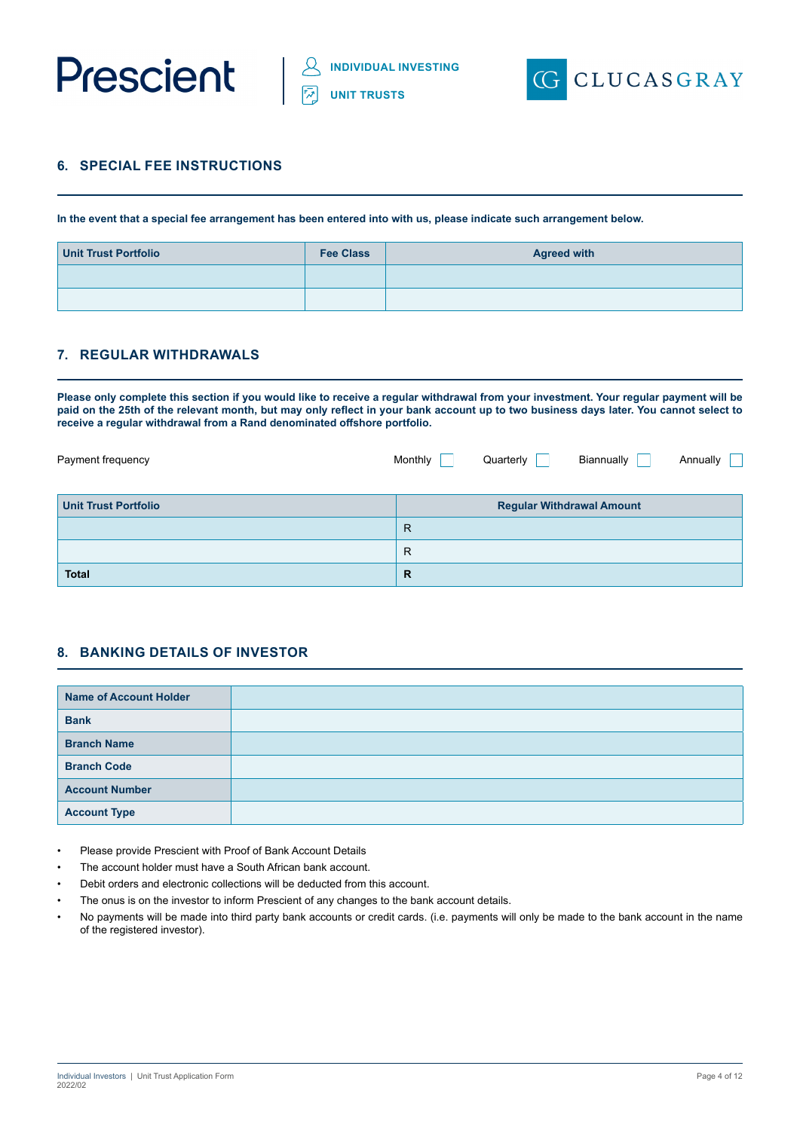



## **6. SPECIAL FEE INSTRUCTIONS**

**In the event that a special fee arrangement has been entered into with us, please indicate such arrangement below.**

| <b>Unit Trust Portfolio</b> | <b>Fee Class</b> | <b>Agreed with</b> |
|-----------------------------|------------------|--------------------|
|                             |                  |                    |
|                             |                  |                    |

## **7. REGULAR WITHDRAWALS**

**Please only complete this section if you would like to receive a regular withdrawal from your investment. Your regular payment will be paid on the 25th of the relevant month, but may only reflect in your bank account up to two business days later. You cannot select to receive a regular withdrawal from a Rand denominated offshore portfolio.**

| Payment frequency           | Monthly      | Quarterly | Biannually                       | Annually |
|-----------------------------|--------------|-----------|----------------------------------|----------|
| <b>Unit Trust Portfolio</b> |              |           | <b>Regular Withdrawal Amount</b> |          |
|                             | $\mathsf{R}$ |           |                                  |          |
|                             | R            |           |                                  |          |
| <b>Total</b>                | $\mathbb{R}$ |           |                                  |          |

## **8. BANKING DETAILS OF INVESTOR**

| <b>Name of Account Holder</b> |  |
|-------------------------------|--|
| <b>Bank</b>                   |  |
| <b>Branch Name</b>            |  |
| <b>Branch Code</b>            |  |
| <b>Account Number</b>         |  |
| <b>Account Type</b>           |  |

- Please provide Prescient with Proof of Bank Account Details
- The account holder must have a South African bank account.
- Debit orders and electronic collections will be deducted from this account.
- The onus is on the investor to inform Prescient of any changes to the bank account details.
- No payments will be made into third party bank accounts or credit cards. (i.e. payments will only be made to the bank account in the name of the registered investor).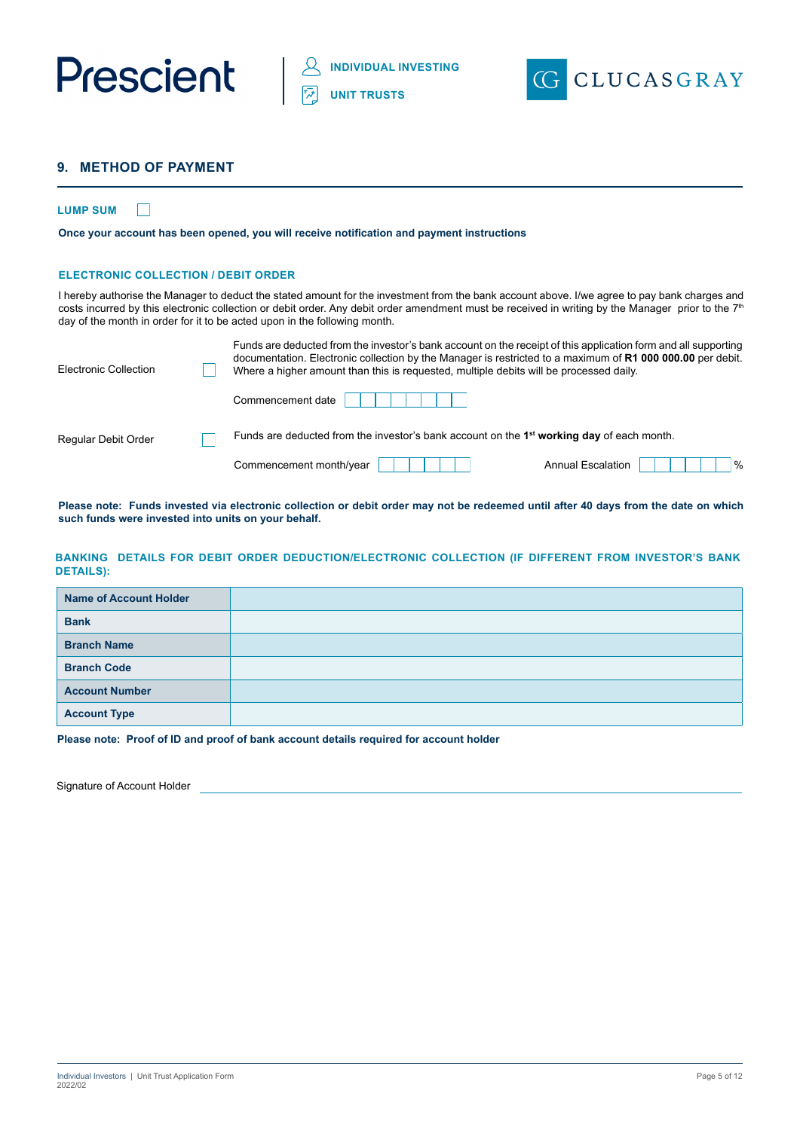



## **9. METHOD OF PAYMENT**

#### **LUMP SUM**  $\Box$

**Once your account has been opened, you will receive notification and payment instructions**

#### **ELECTRONIC COLLECTION / DEBIT ORDER**

I hereby authorise the Manager to deduct the stated amount for the investment from the bank account above. I/we agree to pay bank charges and costs incurred by this electronic collection or debit order. Any debit order amendment must be received in writing by the Manager prior to the 7<sup>th</sup> day of the month in order for it to be acted upon in the following month.

| Electronic Collection | Funds are deducted from the investor's bank account on the receipt of this application form and all supporting<br>documentation. Electronic collection by the Manager is restricted to a maximum of R1 000 000.00 per debit.<br>Where a higher amount than this is requested, multiple debits will be processed daily. |                                  |
|-----------------------|------------------------------------------------------------------------------------------------------------------------------------------------------------------------------------------------------------------------------------------------------------------------------------------------------------------------|----------------------------------|
|                       | Commencement date                                                                                                                                                                                                                                                                                                      |                                  |
| Regular Debit Order   | Funds are deducted from the investor's bank account on the $1st$ working day of each month.                                                                                                                                                                                                                            |                                  |
|                       | Commencement month/year                                                                                                                                                                                                                                                                                                | $\%$<br><b>Annual Escalation</b> |

**Please note: Funds invested via electronic collection or debit order may not be redeemed until after 40 days from the date on which such funds were invested into units on your behalf.**

#### **BANKING DETAILS FOR DEBIT ORDER DEDUCTION/ELECTRONIC COLLECTION (IF DIFFERENT FROM INVESTOR'S BANK DETAILS):**

| <b>Name of Account Holder</b> |  |
|-------------------------------|--|
| <b>Bank</b>                   |  |
| <b>Branch Name</b>            |  |
| <b>Branch Code</b>            |  |
| <b>Account Number</b>         |  |
| <b>Account Type</b>           |  |

**Please note: Proof of ID and proof of bank account details required for account holder**

Signature of Account Holder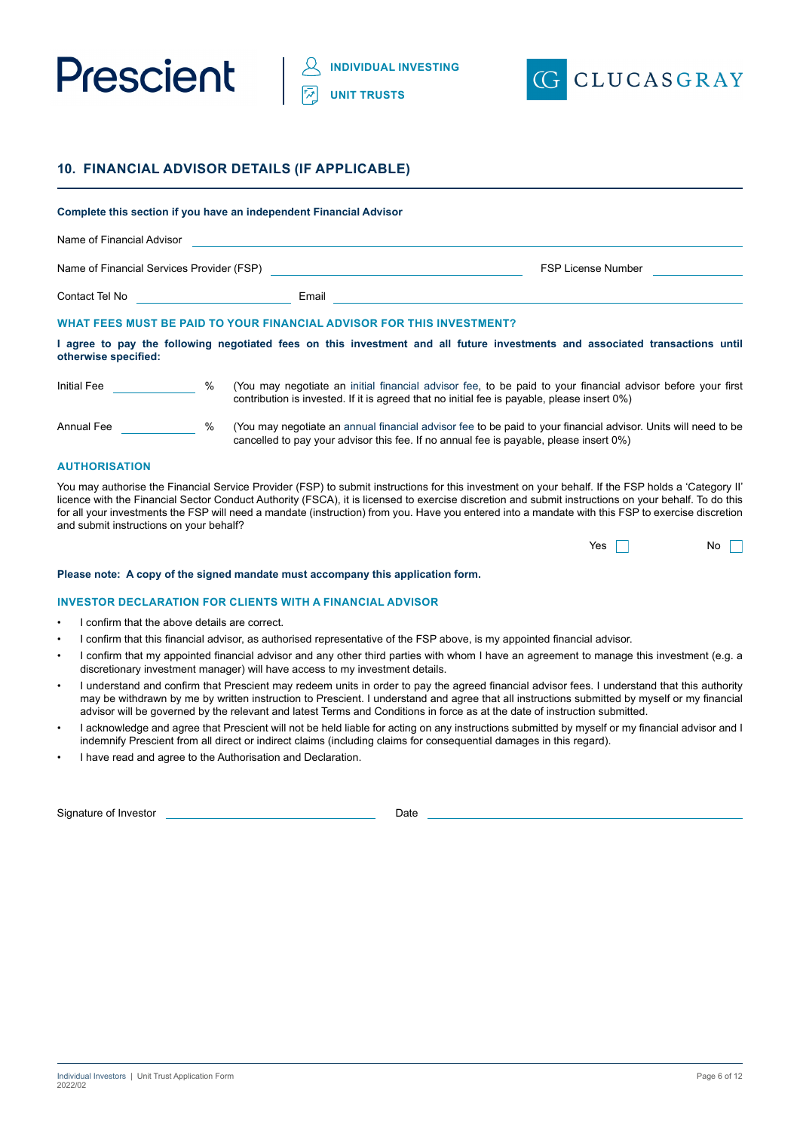



## **10. FINANCIAL ADVISOR DETAILS (IF APPLICABLE)**

|                                           |      | Complete this section if you have an independent Financial Advisor    |                                                                                                                                                                                                                |
|-------------------------------------------|------|-----------------------------------------------------------------------|----------------------------------------------------------------------------------------------------------------------------------------------------------------------------------------------------------------|
| Name of Financial Advisor                 |      |                                                                       |                                                                                                                                                                                                                |
| Name of Financial Services Provider (FSP) |      |                                                                       | <b>FSP License Number</b>                                                                                                                                                                                      |
| Contact Tel No <b>Contact Tel No</b>      |      | Email                                                                 |                                                                                                                                                                                                                |
|                                           |      | WHAT FEES MUST BE PAID TO YOUR FINANCIAL ADVISOR FOR THIS INVESTMENT? |                                                                                                                                                                                                                |
| otherwise specified:                      |      |                                                                       | I agree to pay the following negotiated fees on this investment and all future investments and associated transactions until                                                                                   |
| <b>Initial Fee</b>                        | $\%$ |                                                                       | (You may negotiate an initial financial advisor fee, to be paid to your financial advisor before your first<br>contribution is invested. If it is agreed that no initial fee is payable, please insert $0\%$ ) |
| Annual Fee                                | %    |                                                                       | (You may negotiate an annual financial advisor fee to be paid to your financial advisor. Units will need to be<br>cancelled to pay your advisor this fee. If no annual fee is payable, please insert 0%)       |

#### **AUTHORISATION**

You may authorise the Financial Service Provider (FSP) to submit instructions for this investment on your behalf. If the FSP holds a 'Category II' licence with the Financial Sector Conduct Authority (FSCA), it is licensed to exercise discretion and submit instructions on your behalf. To do this for all your investments the FSP will need a mandate (instruction) from you. Have you entered into a mandate with this FSP to exercise discretion and submit instructions on your behalf?

| Yes | No |  |
|-----|----|--|
|     |    |  |

#### **Please note: A copy of the signed mandate must accompany this application form.**

#### **INVESTOR DECLARATION FOR CLIENTS WITH A FINANCIAL ADVISOR**

- I confirm that the above details are correct.
- I confirm that this financial advisor, as authorised representative of the FSP above, is my appointed financial advisor.
- I confirm that my appointed financial advisor and any other third parties with whom I have an agreement to manage this investment (e.g. a discretionary investment manager) will have access to my investment details.
- I understand and confirm that Prescient may redeem units in order to pay the agreed financial advisor fees. I understand that this authority may be withdrawn by me by written instruction to Prescient. I understand and agree that all instructions submitted by myself or my financial advisor will be governed by the relevant and latest Terms and Conditions in force as at the date of instruction submitted.
- I acknowledge and agree that Prescient will not be held liable for acting on any instructions submitted by myself or my financial advisor and I indemnify Prescient from all direct or indirect claims (including claims for consequential damages in this regard).
- I have read and agree to the Authorisation and Declaration.

Signature of Investor Date Date Date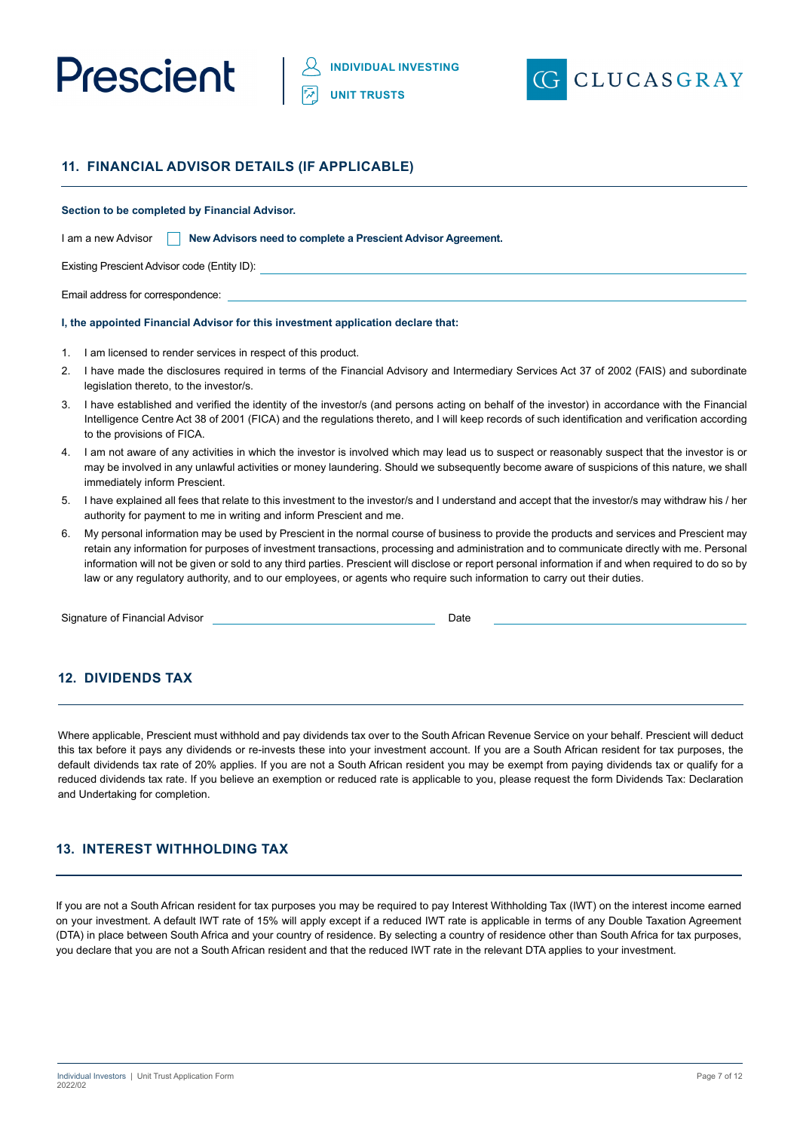



## **11. FINANCIAL ADVISOR DETAILS (IF APPLICABLE)**

#### **Section to be completed by Financial Advisor.**

| I am a new Advisor |  | New Advisors need to complete a Prescient Advisor Agreement. |  |
|--------------------|--|--------------------------------------------------------------|--|
|--------------------|--|--------------------------------------------------------------|--|

Existing Prescient Advisor code (Entity ID):

Email address for correspondence:

#### **I, the appointed Financial Advisor for this investment application declare that:**

- 1. I am licensed to render services in respect of this product.
- 2. I have made the disclosures required in terms of the Financial Advisory and Intermediary Services Act 37 of 2002 (FAIS) and subordinate legislation thereto, to the investor/s.
- 3. I have established and verified the identity of the investor/s (and persons acting on behalf of the investor) in accordance with the Financial Intelligence Centre Act 38 of 2001 (FICA) and the regulations thereto, and I will keep records of such identification and verification according to the provisions of FICA.
- 4. I am not aware of any activities in which the investor is involved which may lead us to suspect or reasonably suspect that the investor is or may be involved in any unlawful activities or money laundering. Should we subsequently become aware of suspicions of this nature, we shall immediately inform Prescient.
- 5. I have explained all fees that relate to this investment to the investor/s and I understand and accept that the investor/s may withdraw his / her authority for payment to me in writing and inform Prescient and me.
- 6. My personal information may be used by Prescient in the normal course of business to provide the products and services and Prescient may retain any information for purposes of investment transactions, processing and administration and to communicate directly with me. Personal information will not be given or sold to any third parties. Prescient will disclose or report personal information if and when required to do so by law or any regulatory authority, and to our employees, or agents who require such information to carry out their duties.

Signature of Financial Advisor **Date Date** Date **Date Date** 

## **12. DIVIDENDS TAX**

Where applicable, Prescient must withhold and pay dividends tax over to the South African Revenue Service on your behalf. Prescient will deduct this tax before it pays any dividends or re-invests these into your investment account. If you are a South African resident for tax purposes, the default dividends tax rate of 20% applies. If you are not a South African resident you may be exempt from paying dividends tax or qualify for a reduced dividends tax rate. If you believe an exemption or reduced rate is applicable to you, please request the form Dividends Tax: Declaration and Undertaking for completion.

## **13. INTEREST WITHHOLDING TAX**

If you are not a South African resident for tax purposes you may be required to pay Interest Withholding Tax (IWT) on the interest income earned on your investment. A default IWT rate of 15% will apply except if a reduced IWT rate is applicable in terms of any Double Taxation Agreement (DTA) in place between South Africa and your country of residence. By selecting a country of residence other than South Africa for tax purposes, you declare that you are not a South African resident and that the reduced IWT rate in the relevant DTA applies to your investment.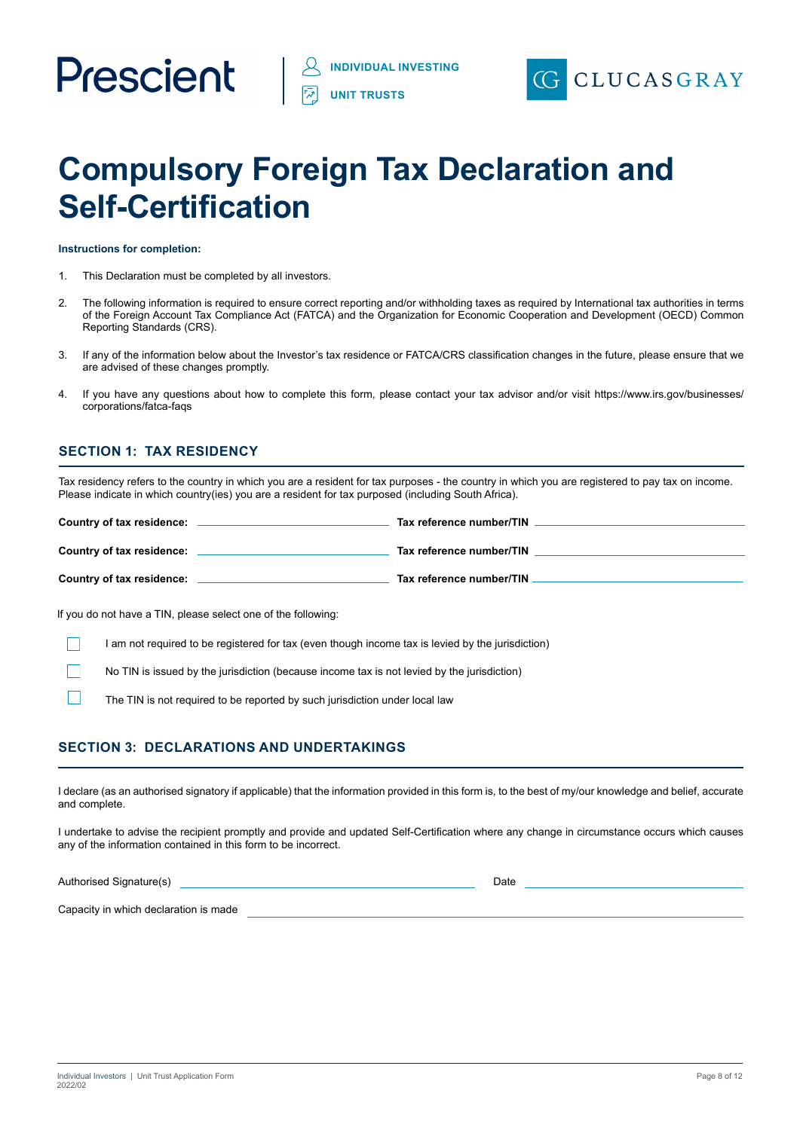

## **Compulsory Foreign Tax Declaration and Self-Certification**

**Instructions for completion:**

- 1. This Declaration must be completed by all investors.
- 2. The following information is required to ensure correct reporting and/or withholding taxes as required by International tax authorities in terms of the Foreign Account Tax Compliance Act (FATCA) and the Organization for Economic Cooperation and Development (OECD) Common Reporting Standards (CRS).
- 3. If any of the information below about the Investor's tax residence or FATCA/CRS classification changes in the future, please ensure that we are advised of these changes promptly.
- 4. If you have any questions about how to complete this form, please contact your tax advisor and/or visit https://www.irs.gov/businesses/ corporations/fatca-faqs

## **SECTION 1: TAX RESIDENCY**

Tax residency refers to the country in which you are a resident for tax purposes - the country in which you are registered to pay tax on income. Please indicate in which country(ies) you are a resident for tax purposed (including South Africa).

| Country of tax residence: | Tax reference number/TIN |
|---------------------------|--------------------------|
| Country of tax residence: | Tax reference number/TIN |
| Country of tax residence: | Tax reference number/TIN |

If you do not have a TIN, please select one of the following:

I am not required to be registered for tax (even though income tax is levied by the jurisdiction)

No TIN is issued by the jurisdiction (because income tax is not levied by the jurisdiction)

The TIN is not required to be reported by such jurisdiction under local law

## **SECTION 3: DECLARATIONS AND UNDERTAKINGS**

I declare (as an authorised signatory if applicable) that the information provided in this form is, to the best of my/our knowledge and belief, accurate and complete.

I undertake to advise the recipient promptly and provide and updated Self-Certification where any change in circumstance occurs which causes any of the information contained in this form to be incorrect.

Authorised Signature(s) and the Contract of the Contract of Date Date

Capacity in which declaration is made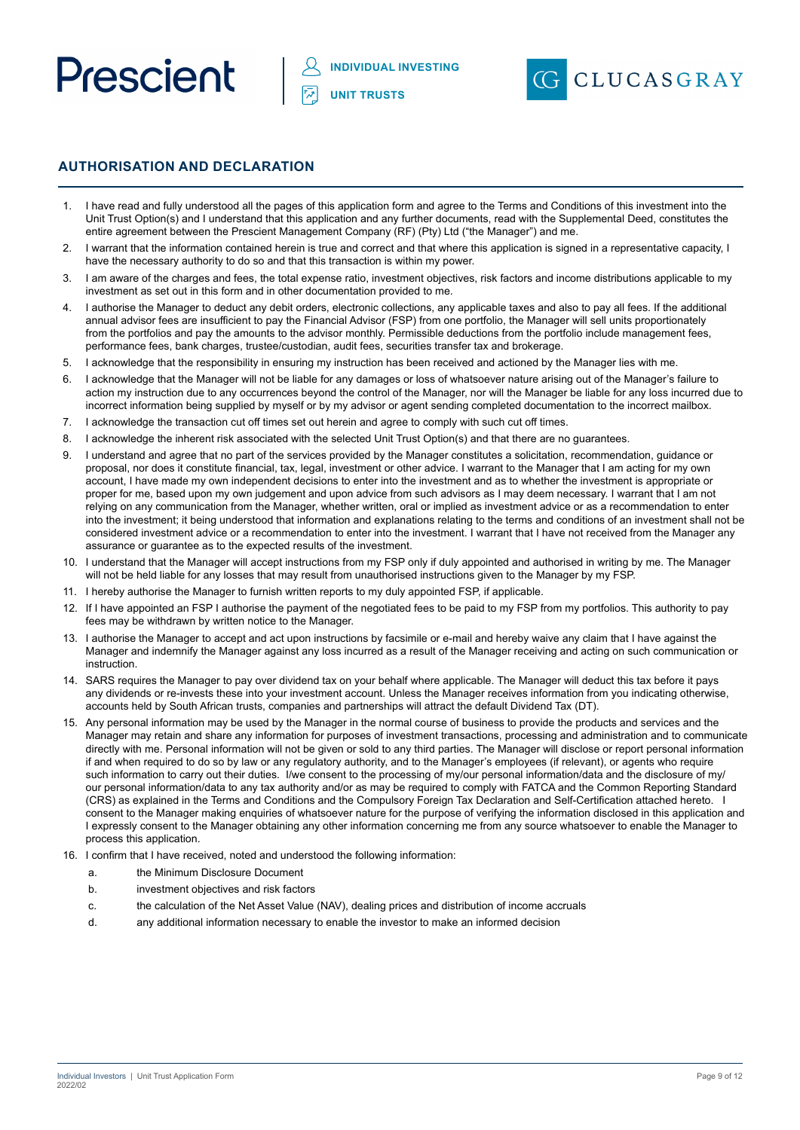



## **AUTHORISATION AND DECLARATION**

- 1. I have read and fully understood all the pages of this application form and agree to the Terms and Conditions of this investment into the Unit Trust Option(s) and I understand that this application and any further documents, read with the Supplemental Deed, constitutes the entire agreement between the Prescient Management Company (RF) (Pty) Ltd ("the Manager") and me.
- I warrant that the information contained herein is true and correct and that where this application is signed in a representative capacity, I have the necessary authority to do so and that this transaction is within my power.
- 1 am aware of the charges and fees, the total expense ratio, investment objectives, risk factors and income distributions applicable to my investment as set out in this form and in other documentation provided to me.
- 4. I authorise the Manager to deduct any debit orders, electronic collections, any applicable taxes and also to pay all fees. If the additional annual advisor fees are insufficient to pay the Financial Advisor (FSP) from one portfolio, the Manager will sell units proportionately from the portfolios and pay the amounts to the advisor monthly. Permissible deductions from the portfolio include management fees, performance fees, bank charges, trustee/custodian, audit fees, securities transfer tax and brokerage.
- 5. I acknowledge that the responsibility in ensuring my instruction has been received and actioned by the Manager lies with me.
- 6. I acknowledge that the Manager will not be liable for any damages or loss of whatsoever nature arising out of the Manager's failure to action my instruction due to any occurrences beyond the control of the Manager, nor will the Manager be liable for any loss incurred due to incorrect information being supplied by myself or by my advisor or agent sending completed documentation to the incorrect mailbox.
- 7. I acknowledge the transaction cut off times set out herein and agree to comply with such cut off times.
- 8. I acknowledge the inherent risk associated with the selected Unit Trust Option(s) and that there are no guarantees.
- 9. I understand and agree that no part of the services provided by the Manager constitutes a solicitation, recommendation, guidance or proposal, nor does it constitute financial, tax, legal, investment or other advice. I warrant to the Manager that I am acting for my own account, I have made my own independent decisions to enter into the investment and as to whether the investment is appropriate or proper for me, based upon my own judgement and upon advice from such advisors as I may deem necessary. I warrant that I am not relying on any communication from the Manager, whether written, oral or implied as investment advice or as a recommendation to enter into the investment; it being understood that information and explanations relating to the terms and conditions of an investment shall not be considered investment advice or a recommendation to enter into the investment. I warrant that I have not received from the Manager any assurance or guarantee as to the expected results of the investment.
- 10. I understand that the Manager will accept instructions from my FSP only if duly appointed and authorised in writing by me. The Manager will not be held liable for any losses that may result from unauthorised instructions given to the Manager by my FSP.
- 11. I hereby authorise the Manager to furnish written reports to my duly appointed FSP, if applicable.
- 12. If I have appointed an FSP I authorise the payment of the negotiated fees to be paid to my FSP from my portfolios. This authority to pay fees may be withdrawn by written notice to the Manager.
- 13. I authorise the Manager to accept and act upon instructions by facsimile or e-mail and hereby waive any claim that I have against the Manager and indemnify the Manager against any loss incurred as a result of the Manager receiving and acting on such communication or instruction.
- 14. SARS requires the Manager to pay over dividend tax on your behalf where applicable. The Manager will deduct this tax before it pays any dividends or re-invests these into your investment account. Unless the Manager receives information from you indicating otherwise, accounts held by South African trusts, companies and partnerships will attract the default Dividend Tax (DT).
- 15. Any personal information may be used by the Manager in the normal course of business to provide the products and services and the Manager may retain and share any information for purposes of investment transactions, processing and administration and to communicate directly with me. Personal information will not be given or sold to any third parties. The Manager will disclose or report personal information if and when required to do so by law or any regulatory authority, and to the Manager's employees (if relevant), or agents who require such information to carry out their duties. I/we consent to the processing of my/our personal information/data and the disclosure of my/ our personal information/data to any tax authority and/or as may be required to comply with FATCA and the Common Reporting Standard (CRS) as explained in the Terms and Conditions and the Compulsory Foreign Tax Declaration and Self-Certification attached hereto. I consent to the Manager making enquiries of whatsoever nature for the purpose of verifying the information disclosed in this application and I expressly consent to the Manager obtaining any other information concerning me from any source whatsoever to enable the Manager to process this application.
- 16. I confirm that I have received, noted and understood the following information:
	- a. the Minimum Disclosure Document
	- b. investment objectives and risk factors
	- c. the calculation of the Net Asset Value (NAV), dealing prices and distribution of income accruals
	- d. any additional information necessary to enable the investor to make an informed decision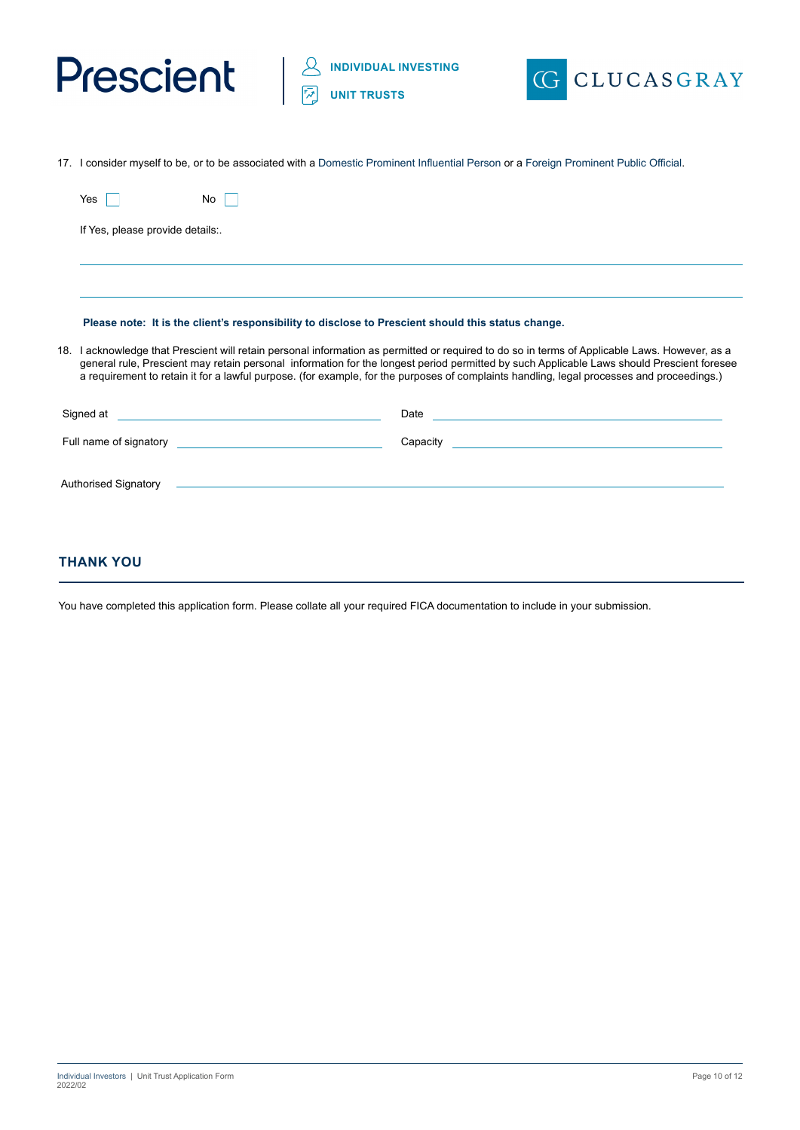



17. I consider myself to be, or to be associated with a Domestic Prominent Influential Person or a Foreign Prominent Public Official.

| Yes                              | No                                                                                                                                                                                                                                                                                                                                                                                                                                       |  |
|----------------------------------|------------------------------------------------------------------------------------------------------------------------------------------------------------------------------------------------------------------------------------------------------------------------------------------------------------------------------------------------------------------------------------------------------------------------------------------|--|
| If Yes, please provide details:. |                                                                                                                                                                                                                                                                                                                                                                                                                                          |  |
|                                  |                                                                                                                                                                                                                                                                                                                                                                                                                                          |  |
|                                  | Please note: It is the client's responsibility to disclose to Prescient should this status change.                                                                                                                                                                                                                                                                                                                                       |  |
|                                  | 18. I acknowledge that Prescient will retain personal information as permitted or required to do so in terms of Applicable Laws. However, as a<br>general rule, Prescient may retain personal information for the longest period permitted by such Applicable Laws should Prescient foresee<br>a requirement to retain it for a lawful purpose. (for example, for the purposes of complaints handling, legal processes and proceedings.) |  |
| Signed at                        | Date<br><u> 1989 - Johann Barbara, martxa alemaniar amerikan personal (h. 1989).</u><br><u> 1989 - Johann Stein, mars an de Britannich (b. 1989)</u>                                                                                                                                                                                                                                                                                     |  |
|                                  | <u> 1980 - Johann Barn, mars an t-Amerikaansk politiker (</u><br>Capacity                                                                                                                                                                                                                                                                                                                                                                |  |
| <b>Authorised Signatory</b>      | <u> 1990 - Jan James James James James James James James James James James James James James James James James J</u>                                                                                                                                                                                                                                                                                                                     |  |
|                                  |                                                                                                                                                                                                                                                                                                                                                                                                                                          |  |

## **THANK YOU**

You have completed this application form. Please collate all your required FICA documentation to include in your submission.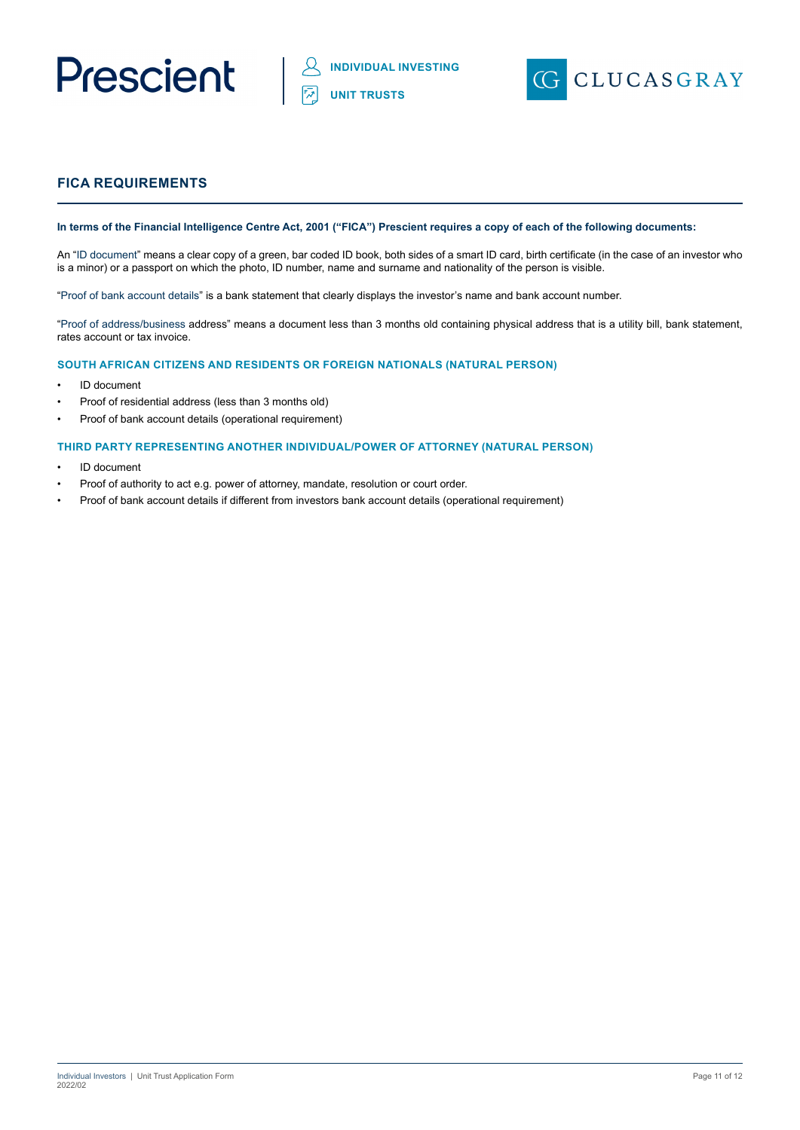



## **FICA REQUIREMENTS**

#### **In terms of the Financial Intelligence Centre Act, 2001 ("FICA") Prescient requires a copy of each of the following documents:**

An "ID document" means a clear copy of a green, bar coded ID book, both sides of a smart ID card, birth certificate (in the case of an investor who is a minor) or a passport on which the photo, ID number, name and surname and nationality of the person is visible.

"Proof of bank account details" is a bank statement that clearly displays the investor's name and bank account number.

"Proof of address/business address" means a document less than 3 months old containing physical address that is a utility bill, bank statement, rates account or tax invoice.

#### **SOUTH AFRICAN CITIZENS AND RESIDENTS OR FOREIGN NATIONALS (NATURAL PERSON)**

- ID document
- Proof of residential address (less than 3 months old)
- Proof of bank account details (operational requirement)

#### **THIRD PARTY REPRESENTING ANOTHER INDIVIDUAL/POWER OF ATTORNEY (NATURAL PERSON)**

- ID document
- Proof of authority to act e.g. power of attorney, mandate, resolution or court order.
- Proof of bank account details if different from investors bank account details (operational requirement)